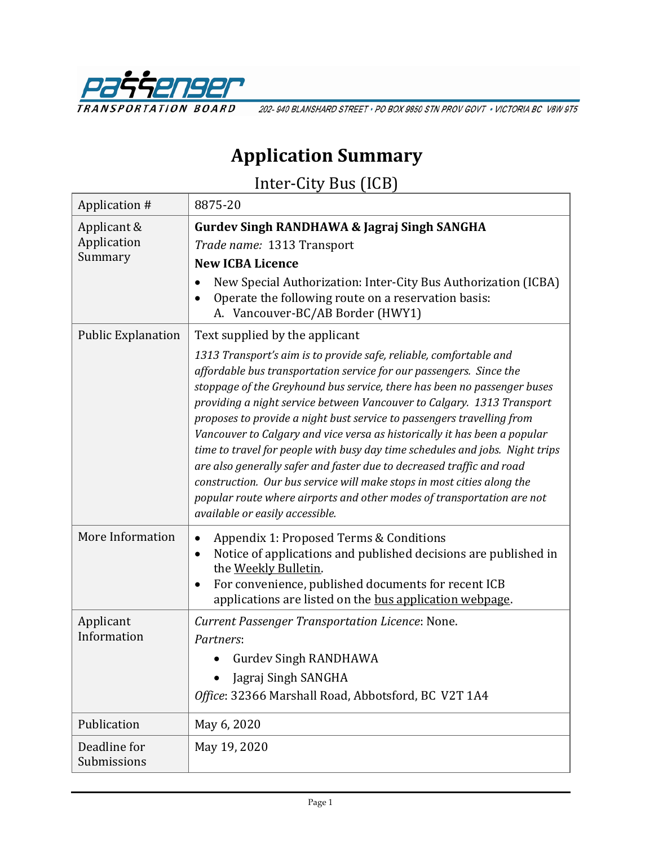

202-940 BLANSHARD STREET · PO BOX 9850 STN PROV GOVT · VICTORIA BC V8W 9T5

## **Application Summary**

Inter-City Bus (ICB)

| Application #                         | 8875-20                                                                                                                                                                                                                                                                                                                                                                                                                                                                                                                                                                                                                                                                                                                                                                                                |
|---------------------------------------|--------------------------------------------------------------------------------------------------------------------------------------------------------------------------------------------------------------------------------------------------------------------------------------------------------------------------------------------------------------------------------------------------------------------------------------------------------------------------------------------------------------------------------------------------------------------------------------------------------------------------------------------------------------------------------------------------------------------------------------------------------------------------------------------------------|
| Applicant &<br>Application<br>Summary | <b>Gurdev Singh RANDHAWA &amp; Jagraj Singh SANGHA</b>                                                                                                                                                                                                                                                                                                                                                                                                                                                                                                                                                                                                                                                                                                                                                 |
|                                       | Trade name: 1313 Transport                                                                                                                                                                                                                                                                                                                                                                                                                                                                                                                                                                                                                                                                                                                                                                             |
|                                       | <b>New ICBA Licence</b>                                                                                                                                                                                                                                                                                                                                                                                                                                                                                                                                                                                                                                                                                                                                                                                |
|                                       | New Special Authorization: Inter-City Bus Authorization (ICBA)<br>Operate the following route on a reservation basis:<br>A. Vancouver-BC/AB Border (HWY1)                                                                                                                                                                                                                                                                                                                                                                                                                                                                                                                                                                                                                                              |
| <b>Public Explanation</b>             | Text supplied by the applicant                                                                                                                                                                                                                                                                                                                                                                                                                                                                                                                                                                                                                                                                                                                                                                         |
|                                       | 1313 Transport's aim is to provide safe, reliable, comfortable and<br>affordable bus transportation service for our passengers. Since the<br>stoppage of the Greyhound bus service, there has been no passenger buses<br>providing a night service between Vancouver to Calgary. 1313 Transport<br>proposes to provide a night bust service to passengers travelling from<br>Vancouver to Calgary and vice versa as historically it has been a popular<br>time to travel for people with busy day time schedules and jobs. Night trips<br>are also generally safer and faster due to decreased traffic and road<br>construction. Our bus service will make stops in most cities along the<br>popular route where airports and other modes of transportation are not<br>available or easily accessible. |
| More Information                      | Appendix 1: Proposed Terms & Conditions<br>Notice of applications and published decisions are published in<br>$\bullet$<br>the Weekly Bulletin.<br>For convenience, published documents for recent ICB<br>applications are listed on the bus application webpage.                                                                                                                                                                                                                                                                                                                                                                                                                                                                                                                                      |
| Applicant<br>Information              | <b>Current Passenger Transportation Licence: None.</b><br>Partners:<br><b>Gurdev Singh RANDHAWA</b><br>Jagraj Singh SANGHA<br>Office: 32366 Marshall Road, Abbotsford, BC V2T 1A4                                                                                                                                                                                                                                                                                                                                                                                                                                                                                                                                                                                                                      |
| Publication                           | May 6, 2020                                                                                                                                                                                                                                                                                                                                                                                                                                                                                                                                                                                                                                                                                                                                                                                            |
| Deadline for<br>Submissions           | May 19, 2020                                                                                                                                                                                                                                                                                                                                                                                                                                                                                                                                                                                                                                                                                                                                                                                           |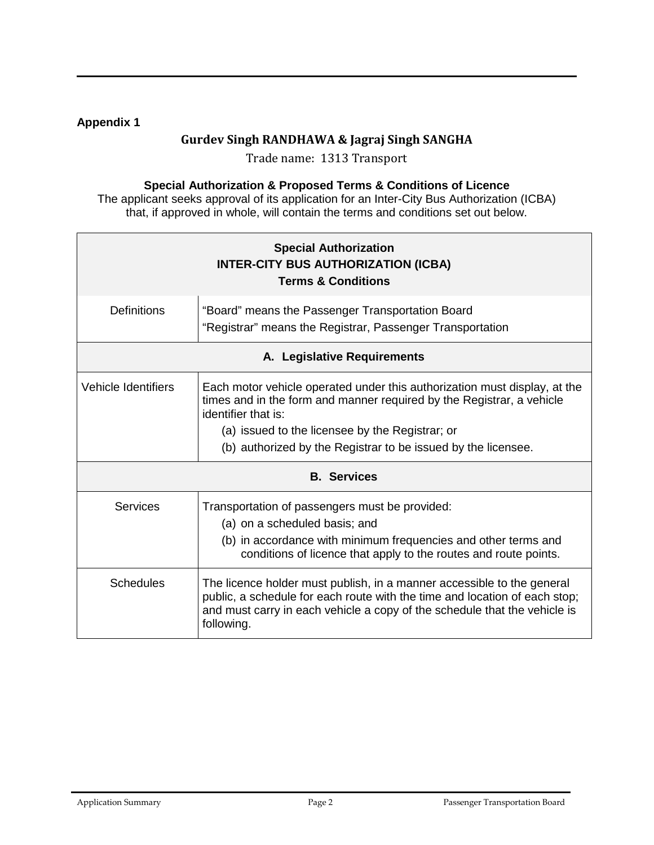## **Appendix 1**

## **Gurdev Singh RANDHAWA & Jagraj Singh SANGHA**

Trade name: 1313 Transport

## **Special Authorization & Proposed Terms & Conditions of Licence**

The applicant seeks approval of its application for an Inter-City Bus Authorization (ICBA) that, if approved in whole, will contain the terms and conditions set out below.

| <b>Special Authorization</b><br><b>INTER-CITY BUS AUTHORIZATION (ICBA)</b><br><b>Terms &amp; Conditions</b> |                                                                                                                                                                                                                                                 |  |
|-------------------------------------------------------------------------------------------------------------|-------------------------------------------------------------------------------------------------------------------------------------------------------------------------------------------------------------------------------------------------|--|
| <b>Definitions</b>                                                                                          | "Board" means the Passenger Transportation Board<br>"Registrar" means the Registrar, Passenger Transportation                                                                                                                                   |  |
| A. Legislative Requirements                                                                                 |                                                                                                                                                                                                                                                 |  |
| Vehicle Identifiers                                                                                         | Each motor vehicle operated under this authorization must display, at the<br>times and in the form and manner required by the Registrar, a vehicle<br>identifier that is:<br>(a) issued to the licensee by the Registrar; or                    |  |
|                                                                                                             | (b) authorized by the Registrar to be issued by the licensee.                                                                                                                                                                                   |  |
| <b>B.</b> Services                                                                                          |                                                                                                                                                                                                                                                 |  |
| <b>Services</b>                                                                                             | Transportation of passengers must be provided:<br>(a) on a scheduled basis; and<br>(b) in accordance with minimum frequencies and other terms and<br>conditions of licence that apply to the routes and route points.                           |  |
| <b>Schedules</b>                                                                                            | The licence holder must publish, in a manner accessible to the general<br>public, a schedule for each route with the time and location of each stop;<br>and must carry in each vehicle a copy of the schedule that the vehicle is<br>following. |  |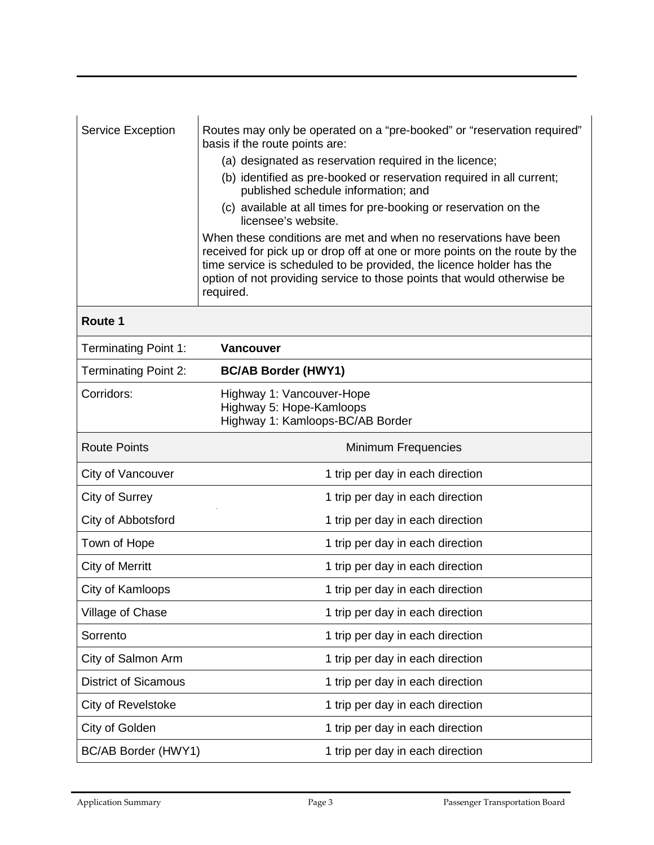| <b>Service Exception</b>    | Routes may only be operated on a "pre-booked" or "reservation required"<br>basis if the route points are:<br>(a) designated as reservation required in the licence;<br>(b) identified as pre-booked or reservation required in all current;<br>published schedule information; and<br>(c) available at all times for pre-booking or reservation on the<br>licensee's website.<br>When these conditions are met and when no reservations have been<br>received for pick up or drop off at one or more points on the route by the<br>time service is scheduled to be provided, the licence holder has the<br>option of not providing service to those points that would otherwise be<br>required. |
|-----------------------------|-------------------------------------------------------------------------------------------------------------------------------------------------------------------------------------------------------------------------------------------------------------------------------------------------------------------------------------------------------------------------------------------------------------------------------------------------------------------------------------------------------------------------------------------------------------------------------------------------------------------------------------------------------------------------------------------------|
| Route 1                     |                                                                                                                                                                                                                                                                                                                                                                                                                                                                                                                                                                                                                                                                                                 |
| <b>Terminating Point 1:</b> | <b>Vancouver</b>                                                                                                                                                                                                                                                                                                                                                                                                                                                                                                                                                                                                                                                                                |
| <b>Terminating Point 2:</b> | <b>BC/AB Border (HWY1)</b>                                                                                                                                                                                                                                                                                                                                                                                                                                                                                                                                                                                                                                                                      |
| Corridors:                  | Highway 1: Vancouver-Hope<br>Highway 5: Hope-Kamloops<br>Highway 1: Kamloops-BC/AB Border                                                                                                                                                                                                                                                                                                                                                                                                                                                                                                                                                                                                       |
| <b>Route Points</b>         | Minimum Frequencies                                                                                                                                                                                                                                                                                                                                                                                                                                                                                                                                                                                                                                                                             |
| City of Vancouver           | 1 trip per day in each direction                                                                                                                                                                                                                                                                                                                                                                                                                                                                                                                                                                                                                                                                |
| City of Surrey              | 1 trip per day in each direction                                                                                                                                                                                                                                                                                                                                                                                                                                                                                                                                                                                                                                                                |
| City of Abbotsford          | 1 trip per day in each direction                                                                                                                                                                                                                                                                                                                                                                                                                                                                                                                                                                                                                                                                |
| Town of Hope                | 1 trip per day in each direction                                                                                                                                                                                                                                                                                                                                                                                                                                                                                                                                                                                                                                                                |
| <b>City of Merritt</b>      | 1 trip per day in each direction                                                                                                                                                                                                                                                                                                                                                                                                                                                                                                                                                                                                                                                                |
| City of Kamloops            | 1 trip per day in each direction                                                                                                                                                                                                                                                                                                                                                                                                                                                                                                                                                                                                                                                                |
| Village of Chase            | 1 trip per day in each direction                                                                                                                                                                                                                                                                                                                                                                                                                                                                                                                                                                                                                                                                |
| Sorrento                    | 1 trip per day in each direction                                                                                                                                                                                                                                                                                                                                                                                                                                                                                                                                                                                                                                                                |
| City of Salmon Arm          | 1 trip per day in each direction                                                                                                                                                                                                                                                                                                                                                                                                                                                                                                                                                                                                                                                                |
| <b>District of Sicamous</b> | 1 trip per day in each direction                                                                                                                                                                                                                                                                                                                                                                                                                                                                                                                                                                                                                                                                |
| City of Revelstoke          | 1 trip per day in each direction                                                                                                                                                                                                                                                                                                                                                                                                                                                                                                                                                                                                                                                                |
| City of Golden              | 1 trip per day in each direction                                                                                                                                                                                                                                                                                                                                                                                                                                                                                                                                                                                                                                                                |
| BC/AB Border (HWY1)         | 1 trip per day in each direction                                                                                                                                                                                                                                                                                                                                                                                                                                                                                                                                                                                                                                                                |